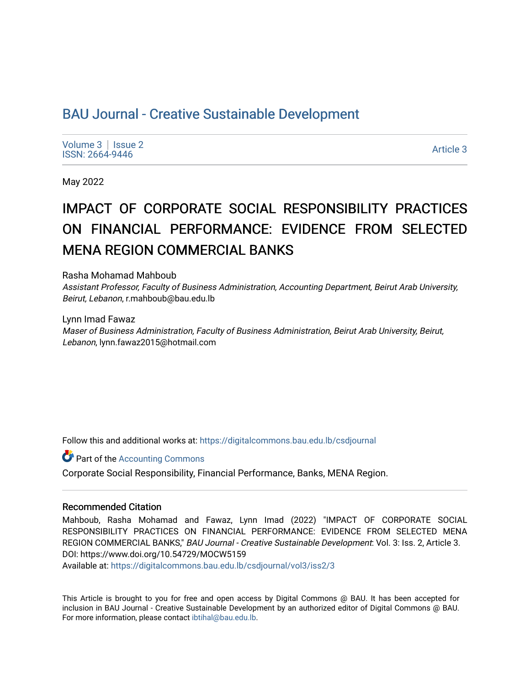# BAU Journal - Creative Sustainable Development

[Volume 3](https://digitalcommons.bau.edu.lb/csdjournal/vol3) | Issue 2 Notative Superior Superior Section 2012 12:00 12:00 12:00 12:00 12:00 12:00 12:00 12:00 12:00 12:00 12:00 12:0<br>ISSN: 2664-9446

May 2022

# IMPACT OF CORPORATE SOCIAL RESPONSIBILITY PRACTICES ON FINANCIAL PERFORMANCE: EVIDENCE FROM SELECTED MENA REGION COMMERCIAL BANKS

Rasha Mohamad Mahboub

Assistant Professor, Faculty of Business Administration, Accounting Department, Beirut Arab University, Beirut, Lebanon, r.mahboub@bau.edu.lb

Lynn Imad Fawaz Maser of Business Administration, Faculty of Business Administration, Beirut Arab University, Beirut, Lebanon, lynn.fawaz2015@hotmail.com

Follow this and additional works at: [https://digitalcommons.bau.edu.lb/csdjournal](https://digitalcommons.bau.edu.lb/csdjournal?utm_source=digitalcommons.bau.edu.lb%2Fcsdjournal%2Fvol3%2Fiss2%2F3&utm_medium=PDF&utm_campaign=PDFCoverPages) 

**C** Part of the [Accounting Commons](https://network.bepress.com/hgg/discipline/625?utm_source=digitalcommons.bau.edu.lb%2Fcsdjournal%2Fvol3%2Fiss2%2F3&utm_medium=PDF&utm_campaign=PDFCoverPages)

Corporate Social Responsibility, Financial Performance, Banks, MENA Region.

#### Recommended Citation

Mahboub, Rasha Mohamad and Fawaz, Lynn Imad (2022) "IMPACT OF CORPORATE SOCIAL RESPONSIBILITY PRACTICES ON FINANCIAL PERFORMANCE: EVIDENCE FROM SELECTED MENA REGION COMMERCIAL BANKS," BAU Journal - Creative Sustainable Development: Vol. 3: Iss. 2, Article 3. DOI: https://www.doi.org/10.54729/MOCW5159

Available at: [https://digitalcommons.bau.edu.lb/csdjournal/vol3/iss2/3](https://digitalcommons.bau.edu.lb/csdjournal/vol3/iss2/3?utm_source=digitalcommons.bau.edu.lb%2Fcsdjournal%2Fvol3%2Fiss2%2F3&utm_medium=PDF&utm_campaign=PDFCoverPages) 

This Article is brought to you for free and open access by Digital Commons @ BAU. It has been accepted for inclusion in BAU Journal - Creative Sustainable Development by an authorized editor of Digital Commons @ BAU. For more information, please contact [ibtihal@bau.edu.lb.](mailto:ibtihal@bau.edu.lb)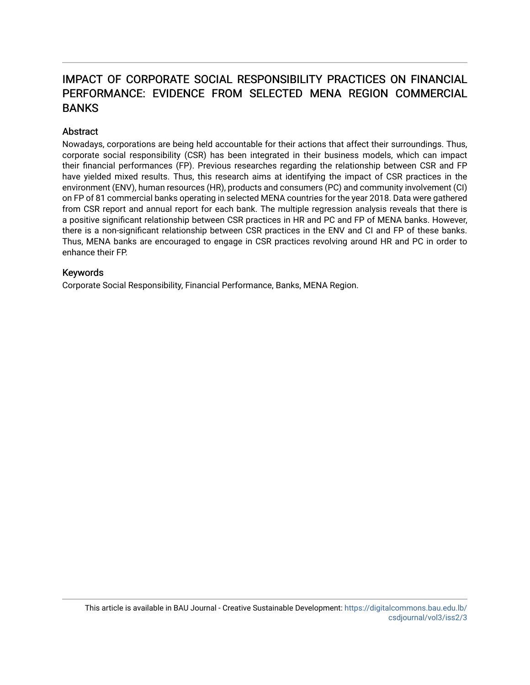# IMPACT OF CORPORATE SOCIAL RESPONSIBILITY PRACTICES ON FINANCIAL PERFORMANCE: EVIDENCE FROM SELECTED MENA REGION COMMERCIAL BANKS

# **Abstract**

Nowadays, corporations are being held accountable for their actions that affect their surroundings. Thus, corporate social responsibility (CSR) has been integrated in their business models, which can impact their financial performances (FP). Previous researches regarding the relationship between CSR and FP have yielded mixed results. Thus, this research aims at identifying the impact of CSR practices in the environment (ENV), human resources (HR), products and consumers (PC) and community involvement (CI) on FP of 81 commercial banks operating in selected MENA countries for the year 2018. Data were gathered from CSR report and annual report for each bank. The multiple regression analysis reveals that there is a positive significant relationship between CSR practices in HR and PC and FP of MENA banks. However, there is a non-significant relationship between CSR practices in the ENV and CI and FP of these banks. Thus, MENA banks are encouraged to engage in CSR practices revolving around HR and PC in order to enhance their FP.

# Keywords

Corporate Social Responsibility, Financial Performance, Banks, MENA Region.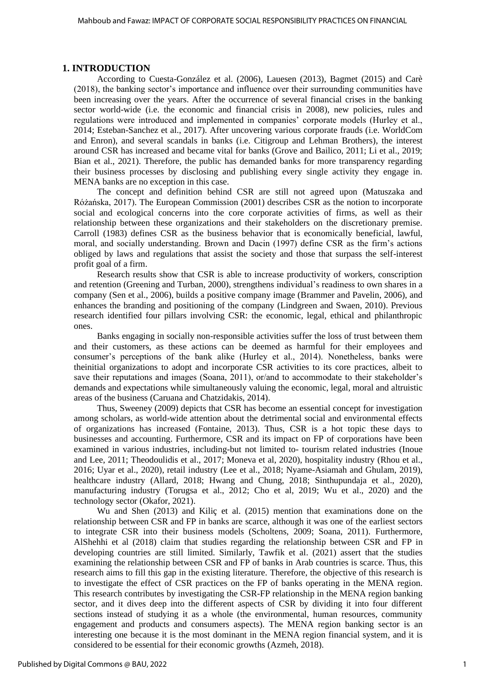# **1. INTRODUCTION**

According to Cuesta-González et al. (2006), Lauesen (2013), Bagmet (2015) and Carè (2018), the banking sector's importance and influence over their surrounding communities have been increasing over the years. After the occurrence of several financial crises in the banking sector world-wide (i.e. the economic and financial crisis in 2008), new policies, rules and regulations were introduced and implemented in companies' corporate models (Hurley et al., 2014; Esteban-Sanchez et al., 2017). After uncovering various corporate frauds (i.e. WorldCom and Enron), and several scandals in banks (i.e. Citigroup and Lehman Brothers), the interest around CSR has increased and became vital for banks (Grove and Bailico, 2011; Li et al., 2019; Bian et al., 2021). Therefore, the public has demanded banks for more transparency regarding their business processes by disclosing and publishing every single activity they engage in. MENA banks are no exception in this case.

The concept and definition behind CSR are still not agreed upon (Matuszaka and Różańska, 2017). The European Commission (2001) describes CSR as the notion to incorporate social and ecological concerns into the core corporate activities of firms, as well as their relationship between these organizations and their stakeholders on the discretionary premise. Carroll (1983) defines CSR as the business behavior that is economically beneficial, lawful, moral, and socially understanding. Brown and Dacin (1997) define CSR as the firm's actions obliged by laws and regulations that assist the society and those that surpass the self-interest profit goal of a firm.

Research results show that CSR is able to increase productivity of workers, conscription and retention (Greening and Turban, 2000), strengthens individual's readiness to own shares in a company (Sen et al., 2006), builds a positive company image (Brammer and Pavelin, 2006), and enhances the branding and positioning of the company (Lindgreen and Swaen, 2010). Previous research identified four pillars involving CSR: the economic, legal, ethical and philanthropic ones.

Banks engaging in socially non-responsible activities suffer the loss of trust between them and their customers, as these actions can be deemed as harmful for their employees and consumer's perceptions of the bank alike (Hurley et al., 2014). Nonetheless, banks were theinitial organizations to adopt and incorporate CSR activities to its core practices, albeit to save their reputations and images (Soana, 2011), or/and to accommodate to their stakeholder's demands and expectations while simultaneously valuing the economic, legal, moral and altruistic areas of the business (Caruana and Chatzidakis, 2014).

Thus, Sweeney (2009) depicts that CSR has become an essential concept for investigation among scholars, as world-wide attention about the detrimental social and environmental effects of organizations has increased (Fontaine, 2013). Thus, CSR is a hot topic these days to businesses and accounting. Furthermore, CSR and its impact on FP of corporations have been examined in various industries, including-but not limited to- tourism related industries (Inoue and Lee, 2011; Theodoulidis et al., 2017; Moneva et al, 2020), hospitality industry (Rhou et al., 2016; Uyar et al., 2020), retail industry (Lee et al., 2018; Nyame-Asiamah and Ghulam, 2019), healthcare industry (Allard, 2018; Hwang and Chung, 2018; Sinthupundaja et al., 2020), manufacturing industry (Torugsa et al., 2012; Cho et al, 2019; Wu et al., 2020) and the technology sector (Okafor, 2021).

Wu and Shen (2013) and Kiliç et al. (2015) mention that examinations done on the relationship between CSR and FP in banks are scarce, although it was one of the earliest sectors to integrate CSR into their business models (Scholtens, 2009; Soana, 2011). Furthermore, AlShehhi et al (2018) claim that studies regarding the relationship between CSR and FP in developing countries are still limited. Similarly, Tawfik et al. (2021) assert that the studies examining the relationship between CSR and FP of banks in Arab countries is scarce. Thus, this research aims to fill this gap in the existing literature. Therefore, the objective of this research is to investigate the effect of CSR practices on the FP of banks operating in the MENA region. This research contributes by investigating the CSR-FP relationship in the MENA region banking sector, and it dives deep into the different aspects of CSR by dividing it into four different sections instead of studying it as a whole (the environmental, human resources, community engagement and products and consumers aspects). The MENA region banking sector is an interesting one because it is the most dominant in the MENA region financial system, and it is considered to be essential for their economic growths (Azmeh, 2018).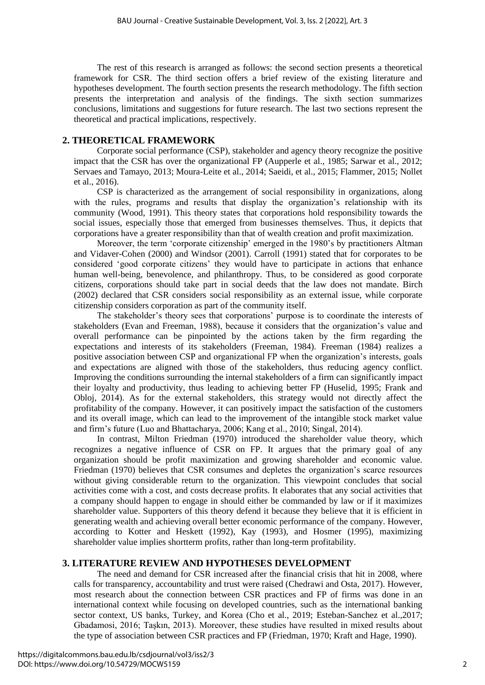The rest of this research is arranged as follows: the second section presents a theoretical framework for CSR. The third section offers a brief review of the existing literature and hypotheses development. The fourth section presents the research methodology. The fifth section presents the interpretation and analysis of the findings. The sixth section summarizes conclusions, limitations and suggestions for future research. The last two sections represent the theoretical and practical implications, respectively.

# **2. THEORETICAL FRAMEWORK**

Corporate social performance (CSP), stakeholder and agency theory recognize the positive impact that the CSR has over the organizational FP (Aupperle et al., 1985; Sarwar et al., 2012; Servaes and Tamayo, 2013; Moura-Leite et al., 2014; Saeidi, et al., 2015; Flammer, 2015; Nollet et al., 2016).

CSP is characterized as the arrangement of social responsibility in organizations, along with the rules, programs and results that display the organization's relationship with its community (Wood, 1991). This theory states that corporations hold responsibility towards the social issues, especially those that emerged from businesses themselves. Thus, it depicts that corporations have a greater responsibility than that of wealth creation and profit maximization.

Moreover, the term 'corporate citizenship' emerged in the 1980's by practitioners Altman and Vidaver-Cohen (2000) and Windsor (2001). Carroll (1991) stated that for corporates to be considered 'good corporate citizens' they would have to participate in actions that enhance human well-being, benevolence, and philanthropy. Thus, to be considered as good corporate citizens, corporations should take part in social deeds that the law does not mandate. Birch (2002) declared that CSR considers social responsibility as an external issue, while corporate citizenship considers corporation as part of the community itself.

The stakeholder's theory sees that corporations' purpose is to coordinate the interests of stakeholders (Evan and Freeman, 1988), because it considers that the organization's value and overall performance can be pinpointed by the actions taken by the firm regarding the expectations and interests of its stakeholders (Freeman, 1984). Freeman (1984) realizes a positive association between CSP and organizational FP when the organization's interests, goals and expectations are aligned with those of the stakeholders, thus reducing agency conflict. Improving the conditions surrounding the internal stakeholders of a firm can significantly impact their loyalty and productivity, thus leading to achieving better FP (Huselid, 1995; Frank and Obloj, 2014). As for the external stakeholders, this strategy would not directly affect the profitability of the company. However, it can positively impact the satisfaction of the customers and its overall image, which can lead to the improvement of the intangible stock market value and firm's future (Luo and Bhattacharya, 2006; Kang et al., 2010; Singal, 2014).

In contrast, Milton Friedman (1970) introduced the shareholder value theory, which recognizes a negative influence of CSR on FP. It argues that the primary goal of any organization should be profit maximization and growing shareholder and economic value. Friedman (1970) believes that CSR consumes and depletes the organization's scarce resources without giving considerable return to the organization. This viewpoint concludes that social activities come with a cost, and costs decrease profits. It elaborates that any social activities that a company should happen to engage in should either be commanded by law or if it maximizes shareholder value. Supporters of this theory defend it because they believe that it is efficient in generating wealth and achieving overall better economic performance of the company. However, according to Kotter and Heskett (1992), Kay (1993), and Hosmer (1995), maximizing shareholder value implies shortterm profits, rather than long-term profitability.

# **3. LITERATURE REVIEW AND HYPOTHESES DEVELOPMENT**

The need and demand for CSR increased after the financial crisis that hit in 2008, where calls for transparency, accountability and trust were raised (Chedrawi and Osta, 2017). However, most research about the connection between CSR practices and FP of firms was done in an international context while focusing on developed countries, such as the international banking sector context, US banks, Turkey, and Korea (Cho et al., 2019; Esteban-Sanchez et al., 2017; Gbadamosi, 2016; Taşkın, 2013). Moreover, these studies have resulted in mixed results about the type of association between CSR practices and FP (Friedman, 1970; Kraft and Hage, 1990).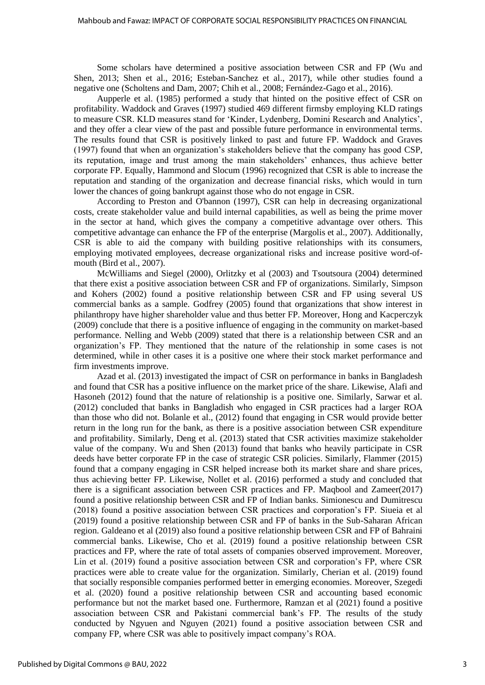Some scholars have determined a positive association between CSR and FP (Wu and Shen, 2013; Shen et al., 2016; Esteban-Sanchez et al., 2017), while other studies found a negative one (Scholtens and Dam, 2007; Chih et al., 2008; Fernández-Gago et al., 2016).

Aupperle et al. (1985) performed a study that hinted on the positive effect of CSR on profitability. Waddock and Graves (1997) studied 469 different firmsby employing KLD ratings to measure CSR. KLD measures stand for 'Kinder, Lydenberg, Domini Research and Analytics', and they offer a clear view of the past and possible future performance in environmental terms. The results found that CSR is positively linked to past and future FP. Waddock and Graves (1997) found that when an organization's stakeholders believe that the company has good CSP, its reputation, image and trust among the main stakeholders' enhances, thus achieve better corporate FP. Equally, Hammond and Slocum (1996) recognized that CSR is able to increase the reputation and standing of the organization and decrease financial risks, which would in turn lower the chances of going bankrupt against those who do not engage in CSR.

According to Preston and O'bannon (1997), CSR can help in decreasing organizational costs, create stakeholder value and build internal capabilities, as well as being the prime mover in the sector at hand, which gives the company a competitive advantage over others. This competitive advantage can enhance the FP of the enterprise (Margolis et al., 2007). Additionally, CSR is able to aid the company with building positive relationships with its consumers, employing motivated employees, decrease organizational risks and increase positive word-ofmouth (Bird et al., 2007).

McWilliams and Siegel (2000), Orlitzky et al (2003) and Tsoutsoura (2004) determined that there exist a positive association between CSR and FP of organizations. Similarly, Simpson and Kohers (2002) found a positive relationship between CSR and FP using several US commercial banks as a sample. Godfrey (2005) found that organizations that show interest in philanthropy have higher shareholder value and thus better FP. Moreover, Hong and Kacperczyk (2009) conclude that there is a positive influence of engaging in the community on market-based performance. Nelling and Webb (2009) stated that there is a relationship between CSR and an organization's FP. They mentioned that the nature of the relationship in some cases is not determined, while in other cases it is a positive one where their stock market performance and firm investments improve.

Azad et al. (2013) investigated the impact of CSR on performance in banks in Bangladesh and found that CSR has a positive influence on the market price of the share. Likewise, Alafi and Hasoneh (2012) found that the nature of relationship is a positive one. Similarly, Sarwar et al. (2012) concluded that banks in Bangladish who engaged in CSR practices had a larger ROA than those who did not. Bolanle et al., (2012) found that engaging in CSR would provide better return in the long run for the bank, as there is a positive association between CSR expenditure and profitability. Similarly, Deng et al. (2013) stated that CSR activities maximize stakeholder value of the company. Wu and Shen (2013) found that banks who heavily participate in CSR deeds have better corporate FP in the case of strategic CSR policies. Similarly, Flammer (2015) found that a company engaging in CSR helped increase both its market share and share prices, thus achieving better FP. Likewise, Nollet et al. (2016) performed a study and concluded that there is a significant association between CSR practices and FP. Maqbool and Zameer(2017) found a positive relationship between CSR and FP of Indian banks. Simionescu and Dumitrescu (2018) found a positive association between CSR practices and corporation's FP. Siueia et al (2019) found a positive relationship between CSR and FP of banks in the Sub-Saharan African region. Galdeano et al (2019) also found a positive relationship between CSR and FP of Bahraini commercial banks. Likewise, Cho et al. (2019) found a positive relationship between CSR practices and FP, where the rate of total assets of companies observed improvement. Moreover, Lin et al. (2019) found a positive association between CSR and corporation's FP, where CSR practices were able to create value for the organization. Similarly, Cherian et al. (2019) found that socially responsible companies performed better in emerging economies. Moreover, Szegedi et al. (2020) found a positive relationship between CSR and accounting based economic performance but not the market based one. Furthermore, Ramzan et al (2021) found a positive association between CSR and Pakistani commercial bank's FP. The results of the study conducted by Ngyuen and Nguyen (2021) found a positive association between CSR and company FP, where CSR was able to positively impact company's ROA.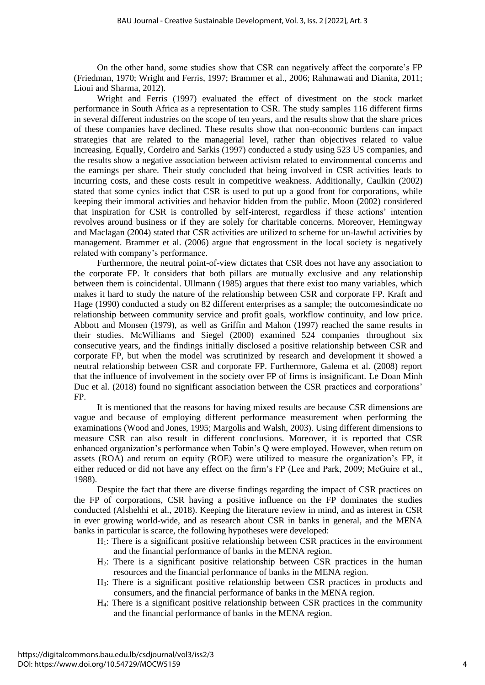On the other hand, some studies show that CSR can negatively affect the corporate's FP (Friedman, 1970; Wright and Ferris, 1997; Brammer et al., 2006; Rahmawati and Dianita, 2011; Lioui and Sharma, 2012).

Wright and Ferris (1997) evaluated the effect of divestment on the stock market performance in South Africa as a representation to CSR. The study samples 116 different firms in several different industries on the scope of ten years, and the results show that the share prices of these companies have declined. These results show that non-economic burdens can impact strategies that are related to the managerial level, rather than objectives related to value increasing. Equally, Cordeiro and Sarkis (1997) conducted a study using 523 US companies, and the results show a negative association between activism related to environmental concerns and the earnings per share. Their study concluded that being involved in CSR activities leads to incurring costs, and these costs result in competitive weakness. Additionally, Caulkin (2002) stated that some cynics indict that CSR is used to put up a good front for corporations, while keeping their immoral activities and behavior hidden from the public. Moon (2002) considered that inspiration for CSR is controlled by self-interest, regardless if these actions' intention revolves around business or if they are solely for charitable concerns. Moreover, Hemingway and Maclagan (2004) stated that CSR activities are utilized to scheme for un-lawful activities by management. Brammer et al. (2006) argue that engrossment in the local society is negatively related with company's performance.

Furthermore, the neutral point-of-view dictates that CSR does not have any association to the corporate FP. It considers that both pillars are mutually exclusive and any relationship between them is coincidental. Ullmann (1985) argues that there exist too many variables, which makes it hard to study the nature of the relationship between CSR and corporate FP. Kraft and Hage (1990) conducted a study on 82 different enterprises as a sample; the outcomesindicate no relationship between community service and profit goals, workflow continuity, and low price. Abbott and Monsen (1979), as well as Griffin and Mahon (1997) reached the same results in their studies. McWilliams and Siegel (2000) examined 524 companies throughout six consecutive years, and the findings initially disclosed a positive relationship between CSR and corporate FP, but when the model was scrutinized by research and development it showed a neutral relationship between CSR and corporate FP. Furthermore, Galema et al. (2008) report that the influence of involvement in the society over FP of firms is insignificant. Le Doan Minh Duc et al. (2018) found no significant association between the CSR practices and corporations' FP.

It is mentioned that the reasons for having mixed results are because CSR dimensions are vague and because of employing different performance measurement when performing the examinations (Wood and Jones, 1995; Margolis and Walsh, 2003). Using different dimensions to measure CSR can also result in different conclusions. Moreover, it is reported that CSR enhanced organization's performance when Tobin's Q were employed. However, when return on assets (ROA) and return on equity (ROE) were utilized to measure the organization's FP, it either reduced or did not have any effect on the firm's FP (Lee and Park, 2009; McGuire et al., 1988).

Despite the fact that there are diverse findings regarding the impact of CSR practices on the FP of corporations, CSR having a positive influence on the FP dominates the studies conducted (Alshehhi et al., 2018). Keeping the literature review in mind, and as interest in CSR in ever growing world-wide, and as research about CSR in banks in general, and the MENA banks in particular is scarce, the following hypotheses were developed:

- H1: There is a significant positive relationship between CSR practices in the environment and the financial performance of banks in the MENA region.
- H2: There is a significant positive relationship between CSR practices in the human resources and the financial performance of banks in the MENA region.
- H3: There is a significant positive relationship between CSR practices in products and consumers, and the financial performance of banks in the MENA region.
- H4: There is a significant positive relationship between CSR practices in the community and the financial performance of banks in the MENA region.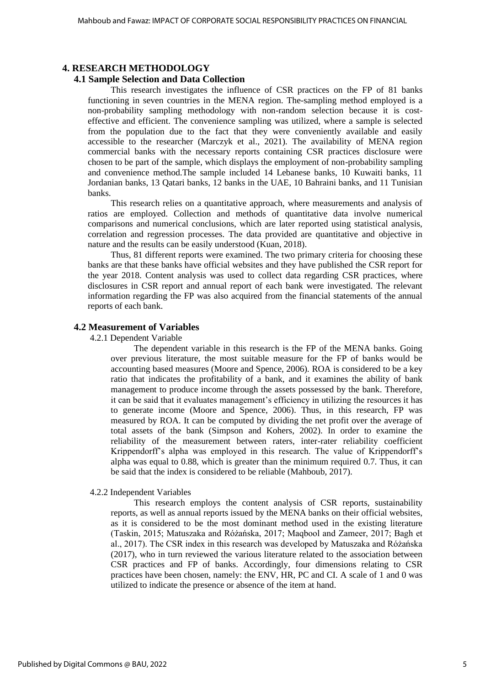# **4. RESEARCH METHODOLOGY**

# **4.1 Sample Selection and Data Collection**

This research investigates the influence of CSR practices on the FP of 81 banks functioning in seven countries in the MENA region. The-sampling method employed is a non-probability sampling methodology with non-random selection because it is costeffective and efficient. The convenience sampling was utilized, where a sample is selected from the population due to the fact that they were conveniently available and easily accessible to the researcher (Marczyk et al., 2021). The availability of MENA region commercial banks with the necessary reports containing CSR practices disclosure were chosen to be part of the sample, which displays the employment of non-probability sampling and convenience method.The sample included 14 Lebanese banks, 10 Kuwaiti banks, 11 Jordanian banks, 13 Qatari banks, 12 banks in the UAE, 10 Bahraini banks, and 11 Tunisian banks.

This research relies on a quantitative approach, where measurements and analysis of ratios are employed. Collection and methods of quantitative data involve numerical comparisons and numerical conclusions, which are later reported using statistical analysis, correlation and regression processes. The data provided are quantitative and objective in nature and the results can be easily understood (Kuan, 2018).

Thus, 81 different reports were examined. The two primary criteria for choosing these banks are that these banks have official websites and they have published the CSR report for the year 2018. Content analysis was used to collect data regarding CSR practices, where disclosures in CSR report and annual report of each bank were investigated. The relevant information regarding the FP was also acquired from the financial statements of the annual reports of each bank.

## **4.2 Measurement of Variables**

#### 4.2.1 Dependent Variable

The dependent variable in this research is the FP of the MENA banks. Going over previous literature, the most suitable measure for the FP of banks would be accounting based measures (Moore and Spence, 2006). ROA is considered to be a key ratio that indicates the profitability of a bank, and it examines the ability of bank management to produce income through the assets possessed by the bank. Therefore, it can be said that it evaluates management's efficiency in utilizing the resources it has to generate income (Moore and Spence, 2006). Thus, in this research, FP was measured by ROA. It can be computed by dividing the net profit over the average of total assets of the bank (Simpson and Kohers, 2002). In order to examine the reliability of the measurement between raters, inter-rater reliability coefficient Krippendorff's alpha was employed in this research. The value of Krippendorff's alpha was equal to 0.88, which is greater than the minimum required 0.7. Thus, it can be said that the index is considered to be reliable (Mahboub, 2017).

#### 4.2.2 Independent Variables

This research employs the content analysis of CSR reports, sustainability reports, as well as annual reports issued by the MENA banks on their official websites, as it is considered to be the most dominant method used in the existing literature (Taskin, 2015; Matuszaka and Różańska, 2017; Maqbool and Zameer, 2017; Bagh et al., 2017). The CSR index in this research was developed by Matuszaka and Różańska (2017), who in turn reviewed the various literature related to the association between CSR practices and FP of banks. Accordingly, four dimensions relating to CSR practices have been chosen, namely: the ENV, HR, PC and CI. A scale of 1 and 0 was utilized to indicate the presence or absence of the item at hand.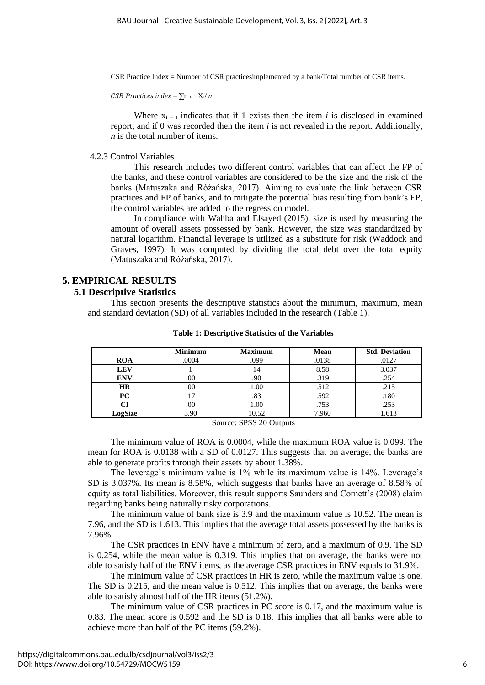CSR Practice Index = Number of CSR practicesimplemented by a bank/Total number of CSR items.

*CSR Practices index* =  $\sum n_{i=1} X_i/n$ 

Where  $x_{i-1}$  indicates that if 1 exists then the item *i* is disclosed in examined report, and if 0 was recorded then the item *i* is not revealed in the report. Additionally, *n* is the total number of items.

#### 4.2.3 Control Variables

This research includes two different control variables that can affect the FP of the banks, and these control variables are considered to be the size and the risk of the banks (Matuszaka and Różańska, 2017). Aiming to evaluate the link between CSR practices and FP of banks, and to mitigate the potential bias resulting from bank's FP, the control variables are added to the regression model.

In compliance with Wahba and Elsayed (2015), size is used by measuring the amount of overall assets possessed by bank. However, the size was standardized by natural logarithm. Financial leverage is utilized as a substitute for risk (Waddock and Graves, 1997). It was computed by dividing the total debt over the total equity (Matuszaka and Różańska, 2017).

# **5. EMPIRICAL RESULTS**

## **5.1 Descriptive Statistics**

This section presents the descriptive statistics about the minimum, maximum, mean and standard deviation (SD) of all variables included in the research (Table 1).

|            | <b>Minimum</b> | <b>Maximum</b> | <b>Mean</b> | <b>Std. Deviation</b> |
|------------|----------------|----------------|-------------|-----------------------|
| <b>ROA</b> | .0004          | .099           | .0138       | .0127                 |
| <b>LEV</b> |                | 14             | 8.58        | 3.037                 |
| <b>ENV</b> | .00            | .90            | .319        | .254                  |
| HR         | .00.           | 00.1           | .512        | .215                  |
| PС         |                | .83            | .592        | .180                  |
|            | .00            | 00.1           | .753        | .253                  |
| LogSize    | 3.90           | 10.52          | 7.960       | 1.613                 |

#### **Table 1: Descriptive Statistics of the Variables**

Source: SPSS 20 Outputs

The minimum value of ROA is 0.0004, while the maximum ROA value is 0.099. The mean for ROA is 0.0138 with a SD of 0.0127. This suggests that on average, the banks are able to generate profits through their assets by about 1.38%.

The leverage's minimum value is 1% while its maximum value is 14%. Leverage's SD is 3.037%. Its mean is 8.58%, which suggests that banks have an average of 8.58% of equity as total liabilities. Moreover, this result supports Saunders and Cornett's (2008) claim regarding banks being naturally risky corporations.

The minimum value of bank size is 3.9 and the maximum value is 10.52. The mean is 7.96, and the SD is 1.613. This implies that the average total assets possessed by the banks is 7.96%.

The CSR practices in ENV have a minimum of zero, and a maximum of 0.9. The SD is 0.254, while the mean value is 0.319. This implies that on average, the banks were not able to satisfy half of the ENV items, as the average CSR practices in ENV equals to 31.9%.

The minimum value of CSR practices in HR is zero, while the maximum value is one. The SD is 0.215, and the mean value is 0.512. This implies that on average, the banks were able to satisfy almost half of the HR items (51.2%).

The minimum value of CSR practices in PC score is 0.17, and the maximum value is 0.83. The mean score is 0.592 and the SD is 0.18. This implies that all banks were able to achieve more than half of the PC items (59.2%).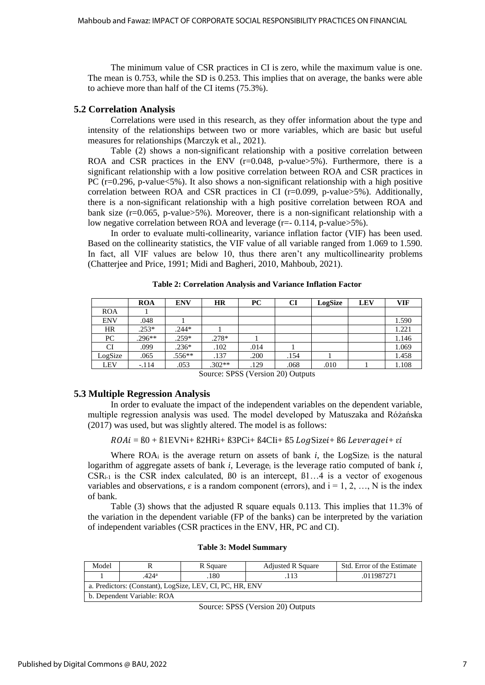The minimum value of CSR practices in CI is zero, while the maximum value is one. The mean is 0.753, while the SD is 0.253. This implies that on average, the banks were able to achieve more than half of the CI items (75.3%).

## **5.2 Correlation Analysis**

Correlations were used in this research, as they offer information about the type and intensity of the relationships between two or more variables, which are basic but useful measures for relationships (Marczyk et al., 2021).

Table (2) shows a non-significant relationship with a positive correlation between ROA and CSR practices in the ENV  $(r=0.048, p-value>5\%)$ . Furthermore, there is a significant relationship with a low positive correlation between ROA and CSR practices in PC (r=0.296, p-value<5%). It also shows a non-significant relationship with a high positive correlation between ROA and CSR practices in CI ( $r=0.099$ , p-value>5%). Additionally, there is a non-significant relationship with a high positive correlation between ROA and bank size ( $r=0.065$ , p-value $>5\%$ ). Moreover, there is a non-significant relationship with a low negative correlation between ROA and leverage (r=- 0.114, p-value>5%).

In order to evaluate multi-collinearity, variance inflation factor (VIF) has been used. Based on the collinearity statistics, the VIF value of all variable ranged from 1.069 to 1.590. In fact, all VIF values are below 10, thus there aren't any multicollinearity problems (Chatterjee and Price, 1991; Midi and Bagheri, 2010, Mahboub, 2021).

|            | <b>ROA</b> | <b>ENV</b> | <b>HR</b> | <b>PC</b> | CI   | LogSize | <b>LEV</b> | <b>VIF</b> |
|------------|------------|------------|-----------|-----------|------|---------|------------|------------|
| <b>ROA</b> |            |            |           |           |      |         |            |            |
| <b>ENV</b> | .048       |            |           |           |      |         |            | 1.590      |
| HR         | $.253*$    | $.244*$    |           |           |      |         |            | 1.221      |
| PC         | $.296**$   | $.259*$    | $.278*$   |           |      |         |            | 1.146      |
| CI         | .099       | $.236*$    | .102      | .014      |      |         |            | 1.069      |
| LogSize    | .065       | $.556**$   | .137      | .200      | .154 |         |            | 1.458      |
| <b>LEV</b> | $-.114$    | .053       | $.302**$  | .129      | .068 | .010    |            | 1.108      |

**Table 2: Correlation Analysis and Variance Inflation Factor**

Source: SPSS (Version 20) Outputs

# **5.3 Multiple Regression Analysis**

In order to evaluate the impact of the independent variables on the dependent variable, multiple regression analysis was used. The model developed by Matuszaka and Różańska (2017) was used, but was slightly altered. The model is as follows:

 $ROAi = 60 + B1EVNi + B2HRi + B3PCi + B4CIi + B5 LogSizei + B6 Leveragei + \varepsilon i$ 

Where  $ROA_i$  is the average return on assets of bank *i*, the LogSize<sub>i</sub> is the natural logarithm of aggregate assets of bank  $i$ , Leverage<sub>i</sub> is the leverage ratio computed of bank  $i$ ,  $CSR_{i-1}$  is the CSR index calculated,  $B0$  is an intercept,  $B1...4$  is a vector of exogenous variables and observations,  $\varepsilon$  is a random component (errors), and  $i = 1, 2, ..., N$  is the index of bank.

Table (3) shows that the adjusted R square equals 0.113. This implies that 11.3% of the variation in the dependent variable (FP of the banks) can be interpreted by the variation of independent variables (CSR practices in the ENV, HR, PC and CI).

| Model                                                    |         | R Square | <b>Adjusted R Square</b> | Std. Error of the Estimate |  |  |
|----------------------------------------------------------|---------|----------|--------------------------|----------------------------|--|--|
|                                                          | $424^a$ | .180     | 113                      | .011987271                 |  |  |
| a. Predictors: (Constant), LogSize, LEV, CI, PC, HR, ENV |         |          |                          |                            |  |  |
| b. Dependent Variable: ROA                               |         |          |                          |                            |  |  |

**Table 3: Model Summary**

Source: SPSS (Version 20) Outputs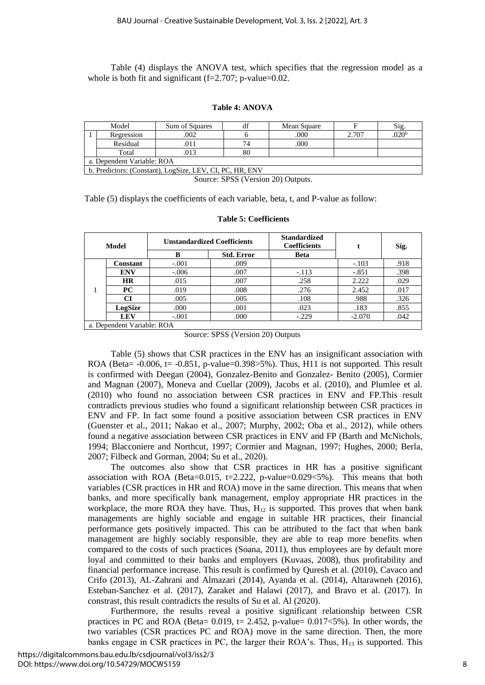Table (4) displays the ANOVA test, which specifies that the regression model as a whole is both fit and significant  $(f=2.707; p-value=0.02$ .

#### **Table 4: ANOVA**

| Model                                                    | Sum of Squares | df | Mean Square |       | Sig.             |  |
|----------------------------------------------------------|----------------|----|-------------|-------|------------------|--|
| Regression                                               | 002            |    | .000        | 2.707 | 020 <sup>t</sup> |  |
| Residual                                                 |                | 74 | .000        |       |                  |  |
| Total                                                    | 013            | 80 |             |       |                  |  |
| a. Dependent Variable: ROA                               |                |    |             |       |                  |  |
| b. Predictors: (Constant), LogSize, LEV, CI, PC, HR, ENV |                |    |             |       |                  |  |

Source: SPSS (Version 20) Outputs.

Table (5) displays the coefficients of each variable, beta, t, and P-value as follow:

#### **Model Unstandardized Coefficients Standardized Coefficients t Sig. B Std. Error** Beta 1 **Constant** | -.001 | .009 | -.103 | .918 **ENV** -.006 007 -.113 -.851 398 **HR** | .015 | .007 | .258 | 2.222 | .029 **PC** | .019 | .008 | .276 | 2.452 | .017 **CI** .005 .005 .108 .988 .326 **LogSize** .000 .001 .023 .183 .855 **LEV** | -.001 | .000 | -.229 | -2.070 | .042 a. Dependent Variable: ROA

#### **Table 5: Coefficients**

Table (5) shows that CSR practices in the ENV has an insignificant association with ROA (Beta=  $-0.006$ , t=  $-0.851$ , p-value= $0.398>5%$ ). Thus, H11 is not supported. This result is confirmed with Deegan (2004), Gonzalez-Benito and Gonzalez- Benito (2005), Cormier and Magnan (2007), Moneva and Cuellar (2009), Jacobs et al. (2010), and Plumlee et al. (2010) who found no association between CSR practices in ENV and FP.This result contradicts previous studies who found a significant relationship between CSR practices in ENV and FP. In fact some found a positive association between CSR practices in ENV (Guenster et al., 2011; Nakao et al., 2007; Murphy, 2002; Oba et al., 2012), while others found a negative association between CSR practices in ENV and FP (Barth and McNichols, 1994; Blacconiere and Northcut, 1997; Cormier and Magnan, 1997; Hughes, 2000; Berla, 2007; Filbeck and Gorman, 2004; Su et al., 2020).

The outcomes also show that CSR practices in HR has a positive significant association with ROA (Beta=0.015, t=2.222, p-value=0.029 $<5\%$ ). This means that both variables (CSR practices in HR and ROA) move in the same direction. This means that when banks, and more specifically bank management, employ appropriate HR practices in the workplace, the more ROA they have. Thus,  $H_{12}$  is supported. This proves that when bank managements are highly sociable and engage in suitable HR practices, their financial performance gets positively impacted. This can be attributed to the fact that when bank management are highly sociably responsible, they are able to reap more benefits when compared to the costs of such practices (Soana, 2011), thus employees are by default more loyal and committed to their banks and employers (Kuvaas, 2008), thus profitability and financial performance increase. This result is confirmed by Quresh et al. (2010), Cavaco and Crifo (2013), AL-Zahrani and Almazari (2014), Ayanda et al. (2014), Altarawneh (2016), Esteban-Sanchez et al. (2017), Zaraket and Halawi (2017), and Bravo et al. (2017). In constrast, this result contradicts the results of Su et al. Al (2020).

Furthermore, the results reveal a positive significant relationship between CSR practices in PC and ROA (Beta=  $0.019$ , t= 2.452, p-value=  $0.017 < 5\%$ ). In other words, the two variables (CSR practices PC and ROA) move in the same direction. Then, the more banks engage in CSR practices in PC, the larger their ROA's. Thus, H<sup>13</sup> is supported. This

Source: SPSS (Version 20) Outputs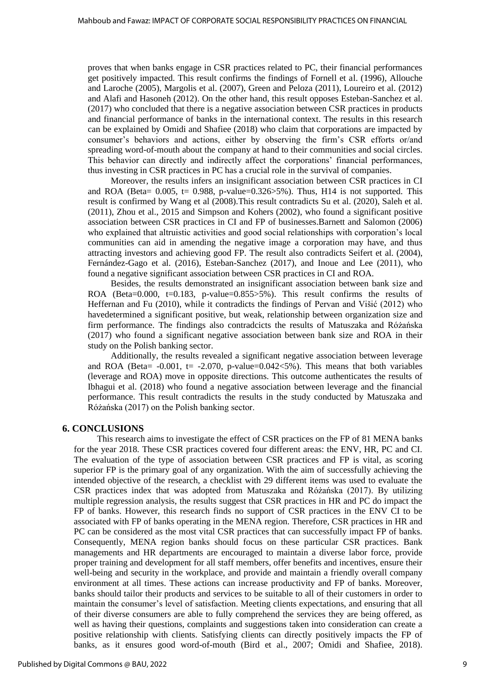proves that when banks engage in CSR practices related to PC, their financial performances get positively impacted. This result confirms the findings of Fornell et al. (1996), Allouche and Laroche (2005), Margolis et al. (2007), Green and Peloza (2011), Loureiro et al. (2012) and Alafi and Hasoneh (2012). On the other hand, this result opposes Esteban-Sanchez et al. (2017) who concluded that there is a negative association between CSR practices in products and financial performance of banks in the international context. The results in this research can be explained by Omidi and Shafiee (2018) who claim that corporations are impacted by consumer's behaviors and actions, either by observing the firm's CSR efforts or/and spreading word-of-mouth about the company at hand to their communities and social circles. This behavior can directly and indirectly affect the corporations' financial performances, thus investing in CSR practices in PC has a crucial role in the survival of companies.

Moreover, the results infers an insignificant association between CSR practices in CI and ROA (Beta=  $0.005$ , t=  $0.988$ , p-value= $0.326 > 5\%$ ). Thus, H14 is not supported. This result is confirmed by Wang et al (2008).This result contradicts Su et al. (2020), Saleh et al. (2011), Zhou et al., 2015 and Simpson and Kohers (2002), who found a significant positive association between CSR practices in CI and FP of businesses.Barnett and Salomon (2006) who explained that altruistic activities and good social relationships with corporation's local communities can aid in amending the negative image a corporation may have, and thus attracting investors and achieving good FP. The result also contradicts Seifert et al. (2004), Fernández-Gago et al. (2016), Esteban-Sanchez (2017), and Inoue and Lee (2011), who found a negative significant association between CSR practices in CI and ROA.

Besides, the results demonstrated an insignificant association between bank size and ROA (Beta=0.000, t=0.183, p-value=0.855>5%). This result confirms the results of Heffernan and Fu (2010), while it contradicts the findings of Pervan and Višić (2012) who havedetermined a significant positive, but weak, relationship between organization size and firm performance. The findings also contradcicts the results of Matuszaka and Różańska (2017) who found a significant negative association between bank size and ROA in their study on the Polish banking sector.

Additionally, the results revealed a significant negative association between leverage and ROA (Beta=  $-0.001$ , t=  $-2.070$ , p-value=0.042 $<5\%$ ). This means that both variables (leverage and ROA) move in opposite directions. This outcome authenticates the results of Ibhagui et al. (2018) who found a negative association between leverage and the financial performance. This result contradicts the results in the study conducted by Matuszaka and Różańska (2017) on the Polish banking sector.

# **6. CONCLUSIONS**

This research aims to investigate the effect of CSR practices on the FP of 81 MENA banks for the year 2018. These CSR practices covered four different areas: the ENV, HR, PC and CI. The evaluation of the type of association between CSR practices and FP is vital, as scoring superior FP is the primary goal of any organization. With the aim of successfully achieving the intended objective of the research, a checklist with 29 different items was used to evaluate the CSR practices index that was adopted from Matuszaka and Różańska (2017). By utilizing multiple regression analysis, the results suggest that CSR practices in HR and PC do impact the FP of banks. However, this research finds no support of CSR practices in the ENV CI to be associated with FP of banks operating in the MENA region. Therefore, CSR practices in HR and PC can be considered as the most vital CSR practices that can successfully impact FP of banks. Consequently, MENA region banks should focus on these particular CSR practices. Bank managements and HR departments are encouraged to maintain a diverse labor force, provide proper training and development for all staff members, offer benefits and incentives, ensure their well-being and security in the workplace, and provide and maintain a friendly overall company environment at all times. These actions can increase productivity and FP of banks. Moreover, banks should tailor their products and services to be suitable to all of their customers in order to maintain the consumer's level of satisfaction. Meeting clients expectations, and ensuring that all of their diverse consumers are able to fully comprehend the services they are being offered, as well as having their questions, complaints and suggestions taken into consideration can create a positive relationship with clients. Satisfying clients can directly positively impacts the FP of banks, as it ensures good word-of-mouth (Bird et al., 2007; Omidi and Shafiee, 2018).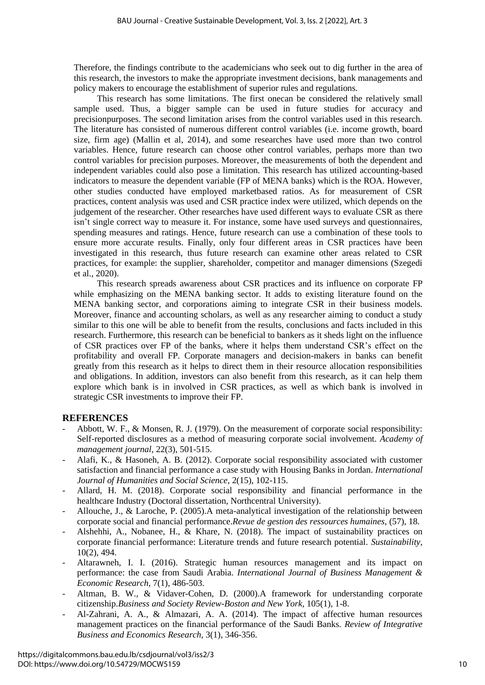Therefore, the findings contribute to the academicians who seek out to dig further in the area of this research, the investors to make the appropriate investment decisions, bank managements and policy makers to encourage the establishment of superior rules and regulations.

This research has some limitations. The first onecan be considered the relatively small sample used. Thus, a bigger sample can be used in future studies for accuracy and precisionpurposes. The second limitation arises from the control variables used in this research. The literature has consisted of numerous different control variables (i.e. income growth, board size, firm age) (Mallin et al, 2014), and some researches have used more than two control variables. Hence, future research can choose other control variables, perhaps more than two control variables for precision purposes. Moreover, the measurements of both the dependent and independent variables could also pose a limitation. This research has utilized accounting-based indicators to measure the dependent variable (FP of MENA banks) which is the ROA. However, other studies conducted have employed marketbased ratios. As for measurement of CSR practices, content analysis was used and CSR practice index were utilized, which depends on the judgement of the researcher. Other researches have used different ways to evaluate CSR as there isn't single correct way to measure it. For instance, some have used surveys and questionnaires, spending measures and ratings. Hence, future research can use a combination of these tools to ensure more accurate results. Finally, only four different areas in CSR practices have been investigated in this research, thus future research can examine other areas related to CSR practices, for example: the supplier, shareholder, competitor and manager dimensions (Szegedi et al., 2020).

This research spreads awareness about CSR practices and its influence on corporate FP while emphasizing on the MENA banking sector. It adds to existing literature found on the MENA banking sector, and corporations aiming to integrate CSR in their business models. Moreover, finance and accounting scholars, as well as any researcher aiming to conduct a study similar to this one will be able to benefit from the results, conclusions and facts included in this research. Furthermore, this research can be beneficial to bankers as it sheds light on the influence of CSR practices over FP of the banks, where it helps them understand CSR's effect on the profitability and overall FP. Corporate managers and decision-makers in banks can benefit greatly from this research as it helps to direct them in their resource allocation responsibilities and obligations. In addition, investors can also benefit from this research, as it can help them explore which bank is in involved in CSR practices, as well as which bank is involved in strategic CSR investments to improve their FP.

# **REFERENCES**

- Abbott, W. F., & Monsen, R. J. (1979). On the measurement of corporate social responsibility: Self-reported disclosures as a method of measuring corporate social involvement. *Academy of management journal*, 22(3), 501-515.
- Alafi, K., & Hasoneh, A. B. (2012). Corporate social responsibility associated with customer satisfaction and financial performance a case study with Housing Banks in Jordan. *International Journal of Humanities and Social Science,* 2(15), 102-115.
- Allard, H. M. (2018). Corporate social responsibility and financial performance in the healthcare Industry (Doctoral dissertation, Northcentral University).
- Allouche, J., & Laroche, P. (2005).A meta-analytical investigation of the relationship between corporate social and financial performance.*Revue de gestion des ressources humaines*, (57), 18.
- Alshehhi, A., Nobanee, H., & Khare, N. (2018). The impact of sustainability practices on corporate financial performance: Literature trends and future research potential. *Sustainability*, 10(2), 494.
- Altarawneh, I. I. (2016). Strategic human resources management and its impact on performance: the case from Saudi Arabia. *International Journal of Business Management & Economic Research,* 7(1), 486-503.
- Altman, B. W., & Vidaver-Cohen, D. (2000).A framework for understanding corporate citizenship.*Business and Society Review-Boston and New York,* 105(1), 1-8.
- Al-Zahrani, A. A., & Almazari, A. A. (2014). The impact of affective human resources management practices on the financial performance of the Saudi Banks. *Review of Integrative Business and Economics Research,* 3(1), 346-356.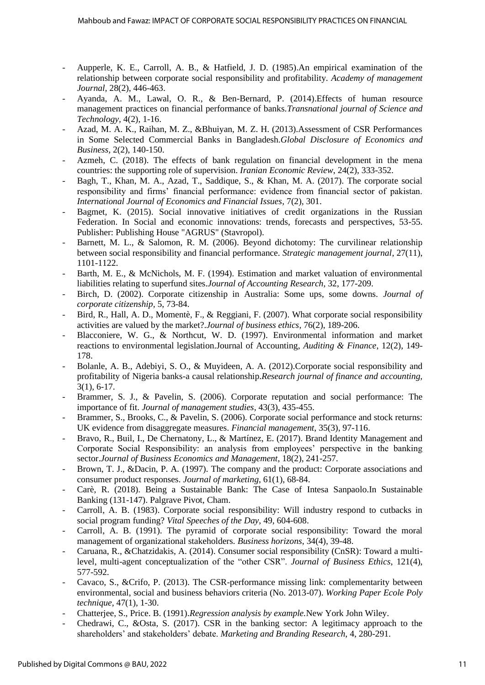- Aupperle, K. E., Carroll, A. B., & Hatfield, J. D. (1985).An empirical examination of the relationship between corporate social responsibility and profitability. *Academy of management Journal,* 28(2), 446-463.
- Ayanda, A. M., Lawal, O. R., & Ben-Bernard, P. (2014).Effects of human resource management practices on financial performance of banks.*Transnational journal of Science and Technology,* 4(2), 1-16.
- Azad, M. A. K., Raihan, M. Z., &Bhuiyan, M. Z. H. (2013).Assessment of CSR Performances in Some Selected Commercial Banks in Bangladesh.*Global Disclosure of Economics and Business,* 2(2), 140-150.
- Azmeh, C. (2018). The effects of bank regulation on financial development in the mena countries: the supporting role of supervision. *Iranian Economic Review*, 24(2), 333-352.
- Bagh, T., Khan, M. A., Azad, T., Saddique, S., & Khan, M. A. (2017). The corporate social responsibility and firms' financial performance: evidence from financial sector of pakistan. *International Journal of Economics and Financial Issues*, 7(2), 301.
- Bagmet, K. (2015). Social innovative initiatives of credit organizations in the Russian Federation. In Social and economic innovations: trends, forecasts and perspectives, 53-55. Publisher: Publishing House "AGRUS" (Stavropol).
- Barnett, M. L., & Salomon, R. M. (2006). Beyond dichotomy: The curvilinear relationship between social responsibility and financial performance. *Strategic management journal*, 27(11), 1101-1122.
- Barth, M. E., & McNichols, M. F. (1994). Estimation and market valuation of environmental liabilities relating to superfund sites.*Journal of Accounting Research*, 32, 177-209.
- Birch, D. (2002). Corporate citizenship in Australia: Some ups, some downs. *Journal of corporate citizenship,* 5, 73-84.
- Bird, R., Hall, A. D., Momentè, F., & Reggiani, F. (2007). What corporate social responsibility activities are valued by the market?.*Journal of business ethics*, 76(2), 189-206.
- Blacconiere, W. G., & Northcut, W. D. (1997). Environmental information and market reactions to environmental legislation.Journal of Accounting, *Auditing & Finance*, 12(2), 149- 178.
- Bolanle, A. B., Adebiyi, S. O., & Muyideen, A. A. (2012).Corporate social responsibility and profitability of Nigeria banks-a causal relationship.*Research journal of finance and accounting,*  3(1), 6-17.
- Brammer, S. J., & Pavelin, S. (2006). Corporate reputation and social performance: The importance of fit. *Journal of management studies*, 43(3), 435-455.
- Brammer, S., Brooks, C., & Pavelin, S. (2006). Corporate social performance and stock returns: UK evidence from disaggregate measures. *Financial management*, 35(3), 97-116.
- Bravo, R., Buil, I., De Chernatony, L., & Martínez, E. (2017). Brand Identity Management and Corporate Social Responsibility: an analysis from employees' perspective in the banking sector.*Journal of Business Economics and Management*, 18(2), 241-257.
- Brown, T. J., &Dacin, P. A. (1997). The company and the product: Corporate associations and consumer product responses. *Journal of marketing*, 61(1), 68-84.
- Carè, R. (2018). Being a Sustainable Bank: The Case of Intesa Sanpaolo.In Sustainable Banking (131-147). Palgrave Pivot, Cham.
- Carroll, A. B. (1983). Corporate social responsibility: Will industry respond to cutbacks in social program funding? *Vital Speeches of the Day*, 49, 604-608.
- Carroll, A. B. (1991). The pyramid of corporate social responsibility: Toward the moral management of organizational stakeholders. *Business horizons*, 34(4), 39-48.
- Caruana, R., &Chatzidakis, A. (2014). Consumer social responsibility (CnSR): Toward a multilevel, multi-agent conceptualization of the "other CSR". *Journal of Business Ethics*, 121(4), 577-592.
- Cavaco, S., &Crifo, P. (2013). The CSR-performance missing link: complementarity between environmental, social and business behaviors criteria (No. 2013-07). *Working Paper Ecole Poly technique,* 47(1), 1-30.
- Chatterjee, S., Price. B. (1991).*Regression analysis by example.*New York John Wiley.
- Chedrawi, C., &Osta, S. (2017). CSR in the banking sector: A legitimacy approach to the shareholders' and stakeholders' debate. *Marketing and Branding Research*, 4, 280-291.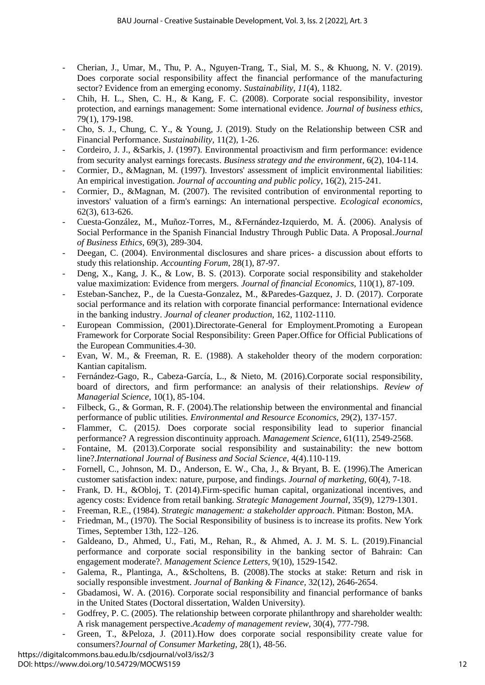- Cherian, J., Umar, M., Thu, P. A., Nguyen-Trang, T., Sial, M. S., & Khuong, N. V. (2019). Does corporate social responsibility affect the financial performance of the manufacturing sector? Evidence from an emerging economy. *Sustainability, 11*(4), 1182.
- Chih, H. L., Shen, C. H., & Kang, F. C. (2008). Corporate social responsibility, investor protection, and earnings management: Some international evidence. *Journal of business ethics,* 79(1), 179-198.
- Cho, S. J., Chung, C. Y., & Young, J. (2019). Study on the Relationship between CSR and Financial Performance. *Sustainability,* 11(2), 1-26.
- Cordeiro, J. J., &Sarkis, J. (1997). Environmental proactivism and firm performance: evidence from security analyst earnings forecasts. *Business strategy and the environment*, 6(2), 104-114.
- Cormier, D., &Magnan, M. (1997). Investors' assessment of implicit environmental liabilities: An empirical investigation. *Journal of accounting and public policy*, 16(2), 215-241.
- Cormier, D., &Magnan, M. (2007). The revisited contribution of environmental reporting to investors' valuation of a firm's earnings: An international perspective. *Ecological economics*, 62(3), 613-626.
- Cuesta-González, M., Muñoz-Torres, M., &Fernández-Izquierdo, M. Á. (2006). Analysis of Social Performance in the Spanish Financial Industry Through Public Data. A Proposal.*Journal of Business Ethics*, 69(3), 289-304.
- Deegan, C. (2004). Environmental disclosures and share prices- a discussion about efforts to study this relationship. *Accounting Forum*, 28(1), 87-97.
- Deng, X., Kang, J. K., & Low, B. S. (2013). Corporate social responsibility and stakeholder value maximization: Evidence from mergers*. Journal of financial Economics*, 110(1), 87-109.
- Esteban-Sanchez, P., de la Cuesta-Gonzalez, M., &Paredes-Gazquez, J. D. (2017). Corporate social performance and its relation with corporate financial performance: International evidence in the banking industry. *Journal of cleaner production*, 162, 1102-1110.
- European Commission, (2001).Directorate-General for Employment.Promoting a European Framework for Corporate Social Responsibility: Green Paper.Office for Official Publications of the European Communities.4-30.
- Evan, W. M., & Freeman, R. E. (1988). A stakeholder theory of the modern corporation: Kantian capitalism.
- Fernández-Gago, R., Cabeza-García, L., & Nieto, M. (2016).Corporate social responsibility, board of directors, and firm performance: an analysis of their relationships. *Review of Managerial Science,* 10(1), 85-104.
- Filbeck, G., & Gorman, R. F. (2004). The relationship between the environmental and financial performance of public utilities*. Environmental and Resource Economics,* 29(2), 137-157.
- Flammer, C. (2015). Does corporate social responsibility lead to superior financial performance? A regression discontinuity approach. *Management Science*, 61(11), 2549-2568.
- Fontaine, M. (2013).Corporate social responsibility and sustainability: the new bottom line?.*International Journal of Business and Social Science,* 4(4).110-119.
- Fornell, C., Johnson, M. D., Anderson, E. W., Cha, J., & Bryant, B. E. (1996).The American customer satisfaction index: nature, purpose, and findings. *Journal of marketing,* 60(4), 7-18.
- Frank, D. H., &Obloj, T. (2014).Firm‐specific human capital, organizational incentives, and agency costs: Evidence from retail banking. *Strategic Management Journal*, 35(9), 1279-1301.
- Freeman, R.E., (1984). *Strategic management: a stakeholder approach*. Pitman: Boston, MA.
- Friedman, M., (1970). The Social Responsibility of business is to increase its profits. New York Times, September 13th, 122–126.
- Galdeano, D., Ahmed, U., Fati, M., Rehan, R., & Ahmed, A. J. M. S. L. (2019).Financial performance and corporate social responsibility in the banking sector of Bahrain: Can engagement moderate?. *Management Science Letters,* 9(10), 1529-1542.
- Galema, R., Plantinga, A., &Scholtens, B. (2008).The stocks at stake: Return and risk in socially responsible investment. *Journal of Banking & Finance,* 32(12), 2646-2654.
- Gbadamosi, W. A. (2016). Corporate social responsibility and financial performance of banks in the United States (Doctoral dissertation, Walden University).
- Godfrey, P. C. (2005). The relationship between corporate philanthropy and shareholder wealth: A risk management perspective.*Academy of management review,* 30(4), 777-798.
- Green, T., &Peloza, J. (2011).How does corporate social responsibility create value for consumers?*Journal of Consumer Marketing,* 28(1), 48-56.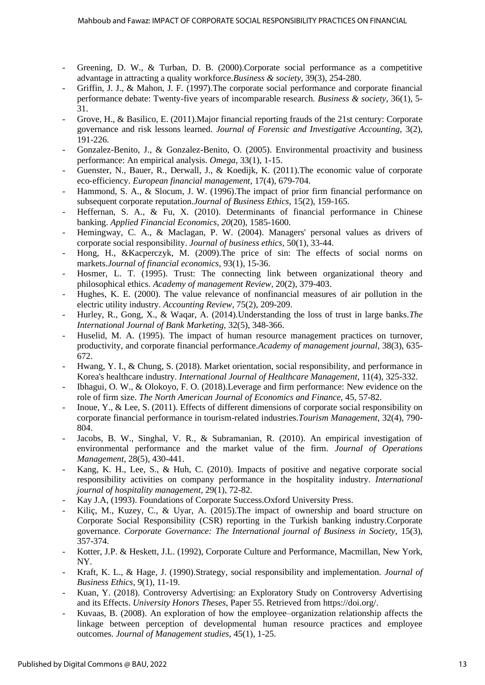- Greening, D. W., & Turban, D. B. (2000).Corporate social performance as a competitive advantage in attracting a quality workforce*.Business & society,* 39(3), 254-280.
- Griffin, J. J., & Mahon, J. F. (1997).The corporate social performance and corporate financial performance debate: Twenty-five years of incomparable research*. Business & society,* 36(1), 5- 31.
- Grove, H., & Basilico, E. (2011). Major financial reporting frauds of the 21st century: Corporate governance and risk lessons learned. *Journal of Forensic and Investigative Accounting,* 3(2), 191-226.
- Gonzalez-Benito, J., & Gonzalez-Benito, O. (2005). Environmental proactivity and business performance: An empirical analysis. *Omega,* 33(1), 1-15.
- Guenster, N., Bauer, R., Derwall, J., & Koedijk, K. (2011). The economic value of corporate eco‐efficiency. *European financial management,* 17(4), 679-704.
- Hammond, S. A., & Slocum, J. W. (1996). The impact of prior firm financial performance on subsequent corporate reputation.*Journal of Business Ethics,* 15(2), 159-165.
- Heffernan, S. A., & Fu, X. (2010). Determinants of financial performance in Chinese banking. *Applied Financial Economics, 20*(20), 1585-1600.
- Hemingway, C. A., & Maclagan, P. W. (2004). Managers' personal values as drivers of corporate social responsibility. *Journal of business ethics,* 50(1), 33-44.
- Hong, H., &Kacperczyk, M. (2009).The price of sin: The effects of social norms on markets.*Journal of financial economics,* 93(1), 15-36.
- Hosmer, L. T. (1995). Trust: The connecting link between organizational theory and philosophical ethics. *Academy of management Review,* 20(2), 379-403.
- Hughes, K. E. (2000). The value relevance of nonfinancial measures of air pollution in the electric utility industry. *Accounting Review,* 75(2), 209-209.
- Hurley, R., Gong, X., & Waqar, A. (2014).Understanding the loss of trust in large banks.*The International Journal of Bank Marketing,* 32(5), 348-366.
- Huselid, M. A. (1995). The impact of human resource management practices on turnover, productivity, and corporate financial performance.*Academy of management journal,* 38(3), 635- 672.
- Hwang, Y. I., & Chung, S. (2018). Market orientation, social responsibility, and performance in Korea's healthcare industry. *International Journal of Healthcare Management,* 11(4), 325-332.
- Ibhagui, O. W., & Olokoyo, F. O. (2018).Leverage and firm performance: New evidence on the role of firm size. *The North American Journal of Economics and Finance,* 45, 57-82.
- Inoue, Y., & Lee, S. (2011). Effects of different dimensions of corporate social responsibility on corporate financial performance in tourism-related industries.*Tourism Management,* 32(4), 790- 804.
- Jacobs, B. W., Singhal, V. R., & Subramanian, R. (2010). An empirical investigation of environmental performance and the market value of the firm. *Journal of Operations Management,* 28(5), 430-441.
- Kang, K. H., Lee, S., & Huh, C. (2010). Impacts of positive and negative corporate social responsibility activities on company performance in the hospitality industry. *International journal of hospitality management,* 29(1), 72-82.
- Kay J.A, (1993). Foundations of Corporate Success.Oxford University Press.
- Kiliç, M., Kuzey, C., & Uyar, A. (2015). The impact of ownership and board structure on Corporate Social Responsibility (CSR) reporting in the Turkish banking industry.Corporate governance. *Corporate Governance: The International journal of Business in Society,* 15(3), 357-374.
- Kotter, J.P. & Heskett, J.L. (1992), Corporate Culture and Performance*,* Macmillan, New York, NY.
- Kraft, K. L., & Hage, J. (1990).Strategy, social responsibility and implementation*. Journal of Business Ethics,* 9(1), 11-19.
- Kuan, Y. (2018). Controversy Advertising: an Exploratory Study on Controversy Advertising and its Effects. *University Honors Theses*, Paper 55. Retrieved from https://doi.org/.
- Kuvaas, B. (2008). An exploration of how the employee–organization relationship affects the linkage between perception of developmental human resource practices and employee outcomes. *Journal of Management studies*, 45(1), 1-25.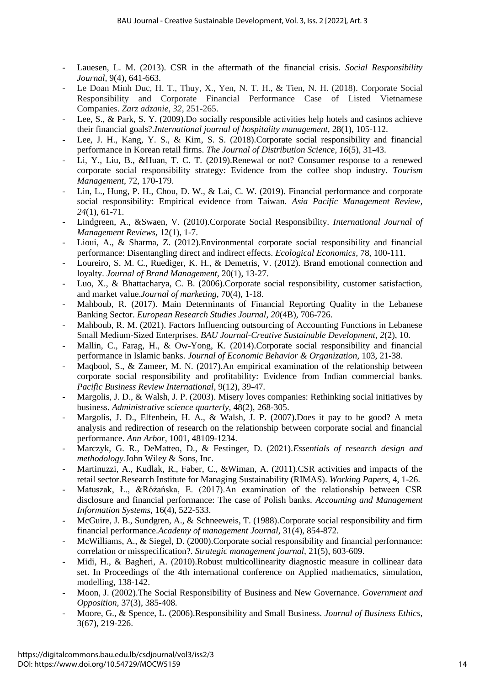- Lauesen, L. M. (2013). CSR in the aftermath of the financial crisis. *Social Responsibility Journal,* 9(4), 641-663.
- Le Doan Minh Duc, H. T., Thuy, X., Yen, N. T. H., & Tien, N. H. (2018). Corporate Social Responsibility and Corporate Financial Performance Case of Listed Vietnamese Companies. *Zarz adzanie*, *32*, 251-265.
- Lee, S., & Park, S. Y. (2009). Do socially responsible activities help hotels and casinos achieve their financial goals?*.International journal of hospitality management,* 28(1), 105-112.
- Lee, J. H., Kang, Y. S., & Kim, S. S. (2018).Corporate social responsibility and financial performance in Korean retail firms. *The Journal of Distribution Science*, *16*(5), 31-43.
- Li, Y., Liu, B., &Huan, T. C. T. (2019).Renewal or not? Consumer response to a renewed corporate social responsibility strategy: Evidence from the coffee shop industry. *Tourism Management,* 72, 170-179.
- Lin, L., Hung, P. H., Chou, D. W., & Lai, C. W. (2019). Financial performance and corporate social responsibility: Empirical evidence from Taiwan. *Asia Pacific Management Review, 24*(1), 61-71.
- Lindgreen, A., &Swaen, V. (2010).Corporate Social Responsibility. *International Journal of Management Reviews,* 12(1), 1-7.
- Lioui, A., & Sharma, Z. (2012).Environmental corporate social responsibility and financial performance: Disentangling direct and indirect effects. *Ecological Economics,* 78, 100-111.
- Loureiro, S. M. C., Ruediger, K. H., & Demetris, V. (2012). Brand emotional connection and loyalty. *Journal of Brand Management,* 20(1), 13-27.
- Luo, X., & Bhattacharya, C. B. (2006).Corporate social responsibility, customer satisfaction, and market value.*Journal of marketing,* 70(4), 1-18.
- Mahboub, R. (2017). Main Determinants of Financial Reporting Quality in the Lebanese Banking Sector. *European Research Studies Journal*, *20*(4B), 706-726.
- Mahboub, R. M. (2021). Factors Influencing outsourcing of Accounting Functions in Lebanese Small Medium-Sized Enterprises. *BAU Journal-Creative Sustainable Development*, *2*(2), 10.
- Mallin, C., Farag, H., & Ow-Yong, K. (2014).Corporate social responsibility and financial performance in Islamic banks. *Journal of Economic Behavior & Organization,* 103, 21-38.
- Maqbool, S., & Zameer, M. N. (2017).An empirical examination of the relationship between corporate social responsibility and profitability: Evidence from Indian commercial banks. *Pacific Business Review International,* 9(12), 39-47.
- Margolis, J. D., & Walsh, J. P. (2003). Misery loves companies: Rethinking social initiatives by business. *Administrative science quarterly,* 48(2), 268-305.
- Margolis, J. D., Elfenbein, H. A., & Walsh, J. P. (2007).Does it pay to be good? A meta analysis and redirection of research on the relationship between corporate social and financial performance. *Ann Arbor,* 1001, 48109-1234.
- Marczyk, G. R., DeMatteo, D., & Festinger, D. (2021).*Essentials of research design and methodology.*John Wiley & Sons, Inc.
- Martinuzzi, A., Kudlak, R., Faber, C., &Wiman, A. (2011).CSR activities and impacts of the retail sector.Research Institute for Managing Sustainability (RIMAS). *Working Papers,* 4, 1-26.
- Matuszak, Ł., &Różańska, E. (2017).An examination of the relationship between CSR disclosure and financial performance: The case of Polish banks. *Accounting and Management Information Systems,* 16(4), 522-533.
- McGuire, J. B., Sundgren, A., & Schneeweis, T. (1988).Corporate social responsibility and firm financial performance.*Academy of management Journal,* 31(4), 854-872.
- McWilliams, A., & Siegel, D. (2000).Corporate social responsibility and financial performance: correlation or misspecification?. *Strategic management journal,* 21(5), 603-609.
- Midi, H., & Bagheri, A. (2010).Robust multicollinearity diagnostic measure in collinear data set. In Proceedings of the 4th international conference on Applied mathematics, simulation, modelling, 138-142.
- Moon, J. (2002).The Social Responsibility of Business and New Governance*. Government and Opposition,* 37(3), 385-408.
- Moore, G., & Spence, L. (2006).Responsibility and Small Business. *Journal of Business Ethics,*  3(67), 219-226.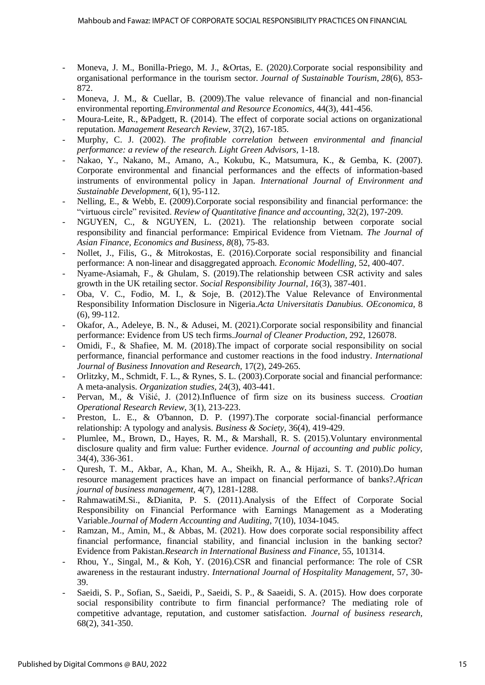- Moneva, J. M., Bonilla-Priego, M. J., &Ortas, E. (2020*).*Corporate social responsibility and organisational performance in the tourism sector. *Journal of Sustainable Tourism*, *28*(6), 853- 872.
- Moneva, J. M., & Cuellar, B. (2009). The value relevance of financial and non-financial environmental reporting.*Environmental and Resource Economics,* 44(3), 441-456.
- Moura-Leite, R., &Padgett, R. (2014). The effect of corporate social actions on organizational reputation. *Management Research Review*, 37(2), 167-185.
- Murphy, C. J. (2002). *The profitable correlation between environmental and financial performance: a review of the research. Light Green Advisors,* 1-18.
- Nakao, Y., Nakano, M., Amano, A., Kokubu, K., Matsumura, K., & Gemba, K. (2007). Corporate environmental and financial performances and the effects of information-based instruments of environmental policy in Japan. *International Journal of Environment and Sustainable Development,* 6(1), 95-112.
- Nelling, E., & Webb, E. (2009). Corporate social responsibility and financial performance: the "virtuous circle" revisited. *Review of Quantitative finance and accounting,* 32(2), 197-209.
- NGUYEN, C., & NGUYEN, L. (2021). The relationship between corporate social responsibility and financial performance: Empirical Evidence from Vietnam. *The Journal of Asian Finance, Economics and Business, 8*(8), 75-83.
- Nollet, J., Filis, G., & Mitrokostas, E. (2016).Corporate social responsibility and financial performance: A non-linear and disaggregated approach. *Economic Modelling,* 52, 400-407.
- Nyame-Asiamah, F., & Ghulam, S. (2019).The relationship between CSR activity and sales growth in the UK retailing sector. *Social Responsibility Journal*, *16*(3), 387-401.
- Oba, V. C., Fodio, M. I., & Soje, B. (2012).The Value Relevance of Environmental Responsibility Information Disclosure in Nigeria.*Acta Universitatis Danubius. OEconomica*, 8 (6), 99-112.
- Okafor, A., Adeleye, B. N., & Adusei, M. (2021).Corporate social responsibility and financial performance: Evidence from US tech firms.*Journal of Cleaner Production,* 292, 126078.
- Omidi, F., & Shafiee, M. M. (2018).The impact of corporate social responsibility on social performance, financial performance and customer reactions in the food industry. *International Journal of Business Innovation and Research,* 17(2), 249-265.
- Orlitzky, M., Schmidt, F. L., & Rynes, S. L. (2003).Corporate social and financial performance: A meta-analysis. *Organization studies,* 24(3), 403-441.
- Pervan, M., & Višić, J. (2012).Influence of firm size on its business success. *Croatian Operational Research Review*, 3(1), 213-223.
- Preston, L. E., & O'bannon, D. P. (1997).The corporate social-financial performance relationship: A typology and analysis. *Business & Society,* 36(4), 419-429.
- Plumlee, M., Brown, D., Hayes, R. M., & Marshall, R. S. (2015).Voluntary environmental disclosure quality and firm value: Further evidence. *Journal of accounting and public policy,* 34(4), 336-361.
- Quresh, T. M., Akbar, A., Khan, M. A., Sheikh, R. A., & Hijazi, S. T. (2010).Do human resource management practices have an impact on financial performance of banks?.*African journal of business management,* 4(7), 1281-1288.
- RahmawatiM.Si., &Dianita, P. S. (2011).Analysis of the Effect of Corporate Social Responsibility on Financial Performance with Earnings Management as a Moderating Variable.*Journal of Modern Accounting and Auditing,* 7(10), 1034-1045.
- Ramzan, M., Amin, M., & Abbas, M. (2021). How does corporate social responsibility affect financial performance, financial stability, and financial inclusion in the banking sector? Evidence from Pakistan.*Research in International Business and Finance,* 55, 101314.
- Rhou, Y., Singal, M., & Koh, Y. (2016).CSR and financial performance: The role of CSR awareness in the restaurant industry. *International Journal of Hospitality Management,* 57, 30- 39.
- Saeidi, S. P., Sofian, S., Saeidi, P., Saeidi, S. P., & Saaeidi, S. A. (2015). How does corporate social responsibility contribute to firm financial performance? The mediating role of competitive advantage, reputation, and customer satisfaction. *Journal of business research,* 68(2), 341-350.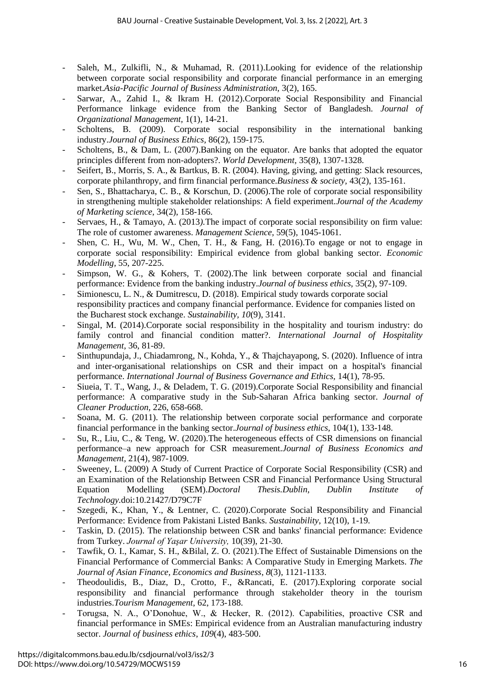- Saleh, M., Zulkifli, N., & Muhamad, R. (2011).Looking for evidence of the relationship between corporate social responsibility and corporate financial performance in an emerging market.*Asia-Pacific Journal of Business Administration,* 3(2), 165.
- Sarwar, A., Zahid I., & Ikram H. (2012).Corporate Social Responsibility and Financial Performance linkage evidence from the Banking Sector of Bangladesh. *Journal of Organizational Management,* 1(1), 14-21.
- Scholtens, B. (2009). Corporate social responsibility in the international banking industry.*Journal of Business Ethics,* 86(2), 159-175.
- Scholtens, B., & Dam, L. (2007).Banking on the equator. Are banks that adopted the equator principles different from non-adopters?. *World Development,* 35(8), 1307-1328.
- Seifert, B., Morris, S. A., & Bartkus, B. R. (2004). Having, giving, and getting: Slack resources, corporate philanthropy, and firm financial performance.*Business & society,* 43(2), 135-161.
- Sen, S., Bhattacharya, C. B., & Korschun, D. (2006). The role of corporate social responsibility in strengthening multiple stakeholder relationships: A field experiment.*Journal of the Academy of Marketing science,* 34(2), 158-166.
- Servaes, H., & Tamayo, A. (2013*).*The impact of corporate social responsibility on firm value: The role of customer awareness. *Management Science,* 59(5), 1045-1061.
- Shen, C. H., Wu, M. W., Chen, T. H., & Fang, H. (2016). To engage or not to engage in corporate social responsibility: Empirical evidence from global banking sector. *Economic Modelling,* 55, 207-225.
- Simpson, W. G., & Kohers, T. (2002). The link between corporate social and financial performance: Evidence from the banking industry.*Journal of business ethics,* 35(2), 97-109.
- Simionescu, L. N., & Dumitrescu, D. (2018). Empirical study towards corporate social responsibility practices and company financial performance. Evidence for companies listed on the Bucharest stock exchange. *Sustainability, 10*(9), 3141.
- Singal, M. (2014).Corporate social responsibility in the hospitality and tourism industry: do family control and financial condition matter?. *International Journal of Hospitality Management,* 36, 81-89.
- Sinthupundaja, J., Chiadamrong, N., Kohda, Y., & Thajchayapong, S. (2020). Influence of intra and inter-organisational relationships on CSR and their impact on a hospital's financial performance. *International Journal of Business Governance and Ethics,* 14(1), 78-95.
- Siueia, T. T., Wang, J., & Deladem, T. G. (2019).Corporate Social Responsibility and financial performance: A comparative study in the Sub-Saharan Africa banking sector. *Journal of Cleaner Production,* 226, 658-668.
- Soana, M. G. (2011). The relationship between corporate social performance and corporate financial performance in the banking sector.*Journal of business ethics,* 104(1), 133-148.
- Su, R., Liu, C., & Teng, W. (2020).The heterogeneous effects of CSR dimensions on financial performance–a new approach for CSR measurement.*Journal of Business Economics and Management,* 21(4), 987-1009.
- Sweeney, L. (2009) A Study of Current Practice of Corporate Social Responsibility (CSR) and an Examination of the Relationship Between CSR and Financial Performance Using Structural Equation Modelling (SEM).*Doctoral Thesis.Dublin, Dublin Institute of Technology.*doi:10.21427/D79C7F
- Szegedi, K., Khan, Y., & Lentner, C. (2020).Corporate Social Responsibility and Financial Performance: Evidence from Pakistani Listed Banks. *Sustainability*, 12(10), 1-19.
- Taskin, D. (2015). The relationship between CSR and banks' financial performance: Evidence from Turkey. *Journal of Yaşar University,* 10(39), 21-30.
- Tawfik, O. I., Kamar, S. H., &Bilal, Z. O. (2021).The Effect of Sustainable Dimensions on the Financial Performance of Commercial Banks: A Comparative Study in Emerging Markets. *The Journal of Asian Finance, Economics and Business*, *8*(3), 1121-1133.
- Theodoulidis, B., Diaz, D., Crotto, F., &Rancati, E. (2017). Exploring corporate social responsibility and financial performance through stakeholder theory in the tourism industries.*Tourism Management,* 62, 173-188.
- Torugsa, N. A., O'Donohue, W., & Hecker, R. (2012). Capabilities, proactive CSR and financial performance in SMEs: Empirical evidence from an Australian manufacturing industry sector. *Journal of business ethics*, *109*(4), 483-500.